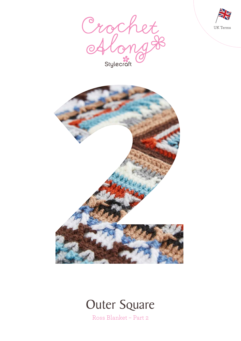







Ross Blanket – Part 2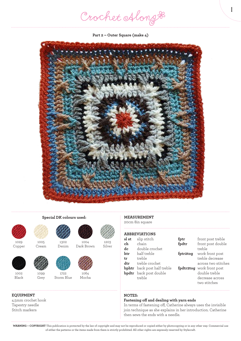Crochet Along #

1

**Part 2 – Outer Square (make 4)**





1005 Cream

1099 Grey

1029 Copper



1002 Black

### **EQUIPMENT**

4.5mm crochet hook Tapestry needle Stitch markers



**Special DK colours used:**

1722 Storm Blue



1064 Mocha



1203 Silver



1004 Dark Brown



## **ABBREVIATIONS**

| sl st | slip stitch                        | fptr     | front post treble         |
|-------|------------------------------------|----------|---------------------------|
| ch    | chain                              | fpdtr    | front post double         |
| dc    | double crochet                     |          | treble                    |
| htr   | half treble                        | fptr2tog | work front post           |
| tr    | treble                             |          | treble decrease           |
| dtr   | treble crochet                     |          | across two stitches       |
|       | <b>bphtr</b> back post half treble |          | fpdtr2tog work front post |
|       | <b>bpdtr</b> back post double      |          | double treble             |
|       | treble                             |          | decrease across           |
|       |                                    |          | two stitches              |

### **NOTES:**

#### **Fastening off and dealing with yarn ends**

In terms of fastening off, Catherine always uses the invisible join technique as she explains in her introduction. Catherine then sews the ends with a needle.

**WARNING – COPYRIGHT** This publication is protected by the law of copyright and may not be reproduced or copied either by photocopying or in any other way. Commercial use of either the patterns or the items made from them is strictly prohibited. All other rights are expressly reserved by Stylecraft.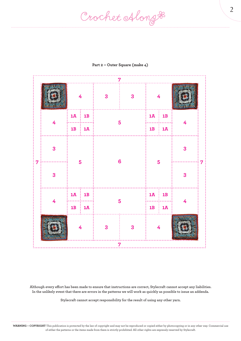Crochet Along #

| $\overline{7}$ |                         |                      |                        |                |   |                              |                        |   |  |  |  |
|----------------|-------------------------|----------------------|------------------------|----------------|---|------------------------------|------------------------|---|--|--|--|
| 7              |                         | $\overline{4}$       |                        | $\mathbf{3}$   | 3 | $\overline{4}$               |                        |   |  |  |  |
|                | 4                       | $1A$ : 1B            |                        |                |   | $1\overline{A}$<br><b>1B</b> |                        | 4 |  |  |  |
|                |                         |                      | $1B$ : $1\overline{A}$ | $5\phantom{a}$ |   |                              | $1B$   $1\overline{A}$ |   |  |  |  |
|                | $\overline{\mathbf{3}}$ | 5                    |                        | $6\phantom{a}$ |   | 5                            |                        | 3 |  |  |  |
|                | $\overline{\mathbf{3}}$ |                      |                        |                |   |                              |                        | 3 |  |  |  |
|                | 4                       | $1\overline{A}$ : 1B |                        | 5              |   |                              | $1\overline{A}$ : 1B   | 4 |  |  |  |
|                |                         |                      | $1B \nvert 1A$         |                |   |                              | $1B$ : $1\overline{A}$ |   |  |  |  |
|                |                         | 4                    |                        | $\mathbf{3}$   | 3 | $\overline{4}$               |                        |   |  |  |  |
| $\overline{7}$ |                         |                      |                        |                |   |                              |                        |   |  |  |  |

## **Part 2 – Outer Square (make 4)**

**Although every effort has been made to ensure that instructions are correct, Stylecraft cannot accept any liabilities. In the unlikely event that there are errors in the patterns we will work as quickly as possible to issue an addenda.**

**Stylecraft cannot accept responsibility for the result of using any other yarn.**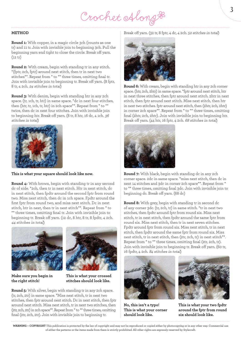Crochet Along &

#### **METHOD**

**Round 1:** With copper, in a magic circle 3ch (counts as one tr) and 11 tr. Join with invisible join to beginning 3ch. Pull the beginning yarn end tight to close the circle. Break off yarn. (12 tr)

**Round 2:** With cream, begin with standing tr in any stitch. \*(fptr, 2ch, fptr) around next stitch, then tr in next two stitches\*\*. Repeat from \* to \*\* three times, omitting final tr. Join with invisible join to beginning tr. Break off yarn. (8 fptr, 8 tr, 4 2ch. 24 stitches in total)

**Round 3:** With denim, begin with standing htr in any 2ch space. (tr, 1ch, tr, htr) in same space. \*dc in next four stitches, then (htr, tr, 1ch, tr, htr) in 2ch space\*\*. Repeat from \* to \*\* twice, then dc in next four stitches. Join with invisible join to beginning htr. Break off yarn. (8 tr, 8 htr, 16 dc, 4 1ch. 36 stitches in total)



#### **This is what your square should look like now.**

**Round 4:** With brown, begin with standing tr in any second dc of side. \*2ch, then tr in next stitch. Htr in next stitch, dc in next stitch, then fpdtr around the second fptr from round two. Miss next stitch, then dc in 1ch space. Fpdtr around the first fptr from round two, and miss next stitch. Dc in next stitch, htr in next, then tr in next stitch\*\*. Repeat from \* to \*\* three times, omitting final tr. Join with invisible join to beginning tr. Break off yarn. (12 dc, 8 htr, 8 tr, 8 fpdtr, 4 2ch. 44 stitches in total)





**Make sure you begin in This is what your crossed the right stitch! stitches should look like.**

**Round 5:** With silver, begin with standing tr in any 2ch space. (tr, 2ch, 2tr) in same space. \*Miss next stitch, tr in next two stitches, then fptr around next stitch. Dc in next stitch, then fptr around next stitch. Miss next stitch, tr in next two stitches, then (2tr, 2ch, 2tr) in 2ch space\*\*. Repeat from \* to \*\* three times, omitting final (2tr, 2ch, 2tr). Join with invisible join to beginning tr.

#### Break off yarn. (32 tr, 8 fptr, 4 dc, 4 2ch. 52 stitches in total)



**Round 6:** With cream, begin with standing htr in any 2ch corner space. (htr, 2ch, 2htr) in same space. \*fptr around next stitch, htr in next three stitches, then fptr around next stitch. 2htr in next stitch, then fptr around next stitch. Miss next stitch, then htr in next two stitches. fptr around next stitch, then (2htr, 2ch, 2htr) in corner 2ch space\*\*. Repeat from \* to \*\* three times, omitting final (2htr, 2ch, 2htr). Join with invisible join to beginning htr. Break off yarn. (44 htr, 16 fptr, 4 2ch. 68 stitches in total)



**Round 7:** With black, begin with standing dc in any 2ch corner space. 2dc in same space. \*miss next stitch, then dc in next 14 stitches and 3dc in corner 2ch space\*\*. Repeat from \* to \*\* three times, omitting final 3dc. Join with invisible join to beginning dc. Break off yarn. (68 dc)

**Round 8:** With grey, begin with standing tr in second dc of any corner 3dc. (tr, 2ch, tr) in same stitch. \*tr in next two stitches, then fpdtr around fptr from round six. Miss next stitch, tr in next stitch, then fpdtr around the same fptr from round six. Miss next stitch, then tr in next seven stitches. Fpdtr around fptr from round six. Miss next stitch, tr in next stitch, then fpdtr around the same fptr from round six. Miss next stitch, tr in next stitch, then (2tr, 2ch, tr) in next stitch\*\*. Repeat from \* to \*\* three times, omitting final (2tr, 2ch, tr). Join with invisible join to beginning tr. Break off yarn. (60 tr, 16 fpdtr, 4 2ch. 84 stitches in total)



**should look like. six should look like.**



**No, this isn't a typo! This is what your two fpdtr This is what your corner around the fptr from round** 

**WARNING – COPYRIGHT** This publication is protected by the law of copyright and may not be reproduced or copied either by photocopying or in any other way. Commercial use of either the patterns or the items made from them is strictly prohibited. All other rights are expressly reserved by Stylecraft.